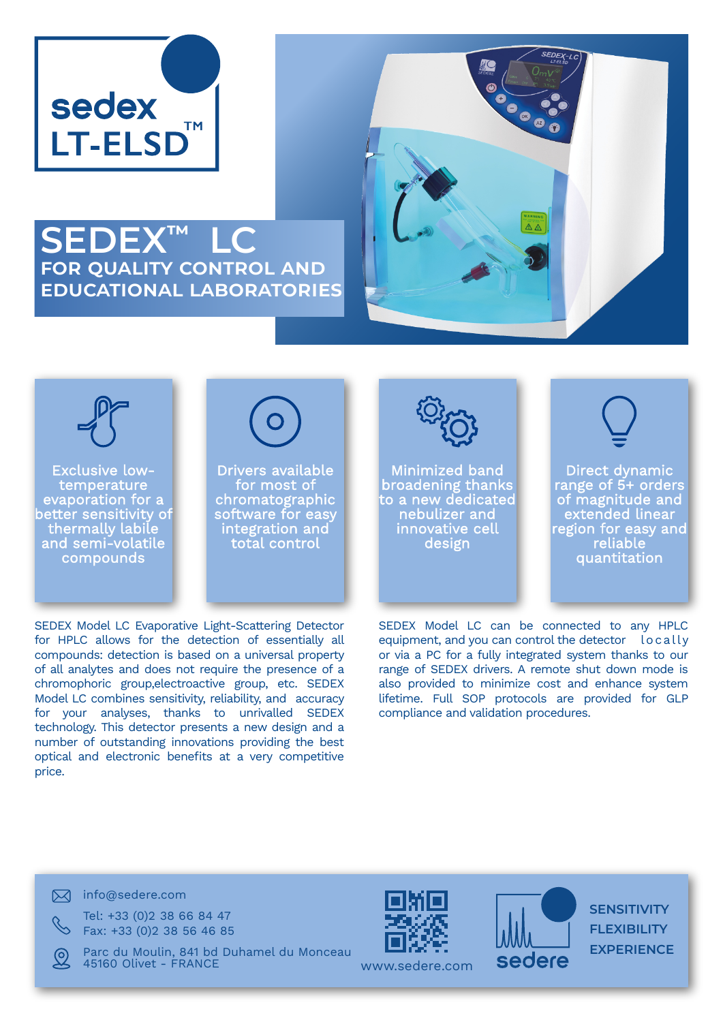

## **SEDEX™ LC for quality control and educational laboratories**





Exclusive lowtemperature evaporation for a better sensitivity of thermally labile and semi-volatile compounds



Drivers available for most of chromatographic software for easy integration and total control



Minimized band broadening thanks to a new dedicated nebulizer and innovative cell design



Direct dynamic range of 5+ orders of magnitude and extended linear region for easy and reliable quantitation

SEDEX Model LC Evaporative Light-Scattering Detector for HPLC allows for the detection of essentially all compounds: detection is based on a universal property of all analytes and does not require the presence of a chromophoric group,electroactive group, etc. SEDEX Model LC combines sensitivity, reliability, and accuracy for your analyses, thanks to unrivalled SEDEX technology. This detector presents a new design and a number of outstanding innovations providing the best optical and electronic benefits at a very competitive price.

SEDEX Model LC can be connected to any HPLC equipment, and you can control the detector locally or via a PC for a fully integrated system thanks to our range of SEDEX drivers. A remote shut down mode is also provided to minimize cost and enhance system lifetime. Full SOP protocols are provided for GLP compliance and validation procedures.

 $\boxtimes$  info@sedere.com

Tel: +33 (0)2 38 66 84 47 Fax: +33 (0)2 38 56 46 85

Parc du Moulin, 841 bd Duhamel du Monceau 45160 Olivet - FRANCE





**SENSITIVITY FLEXIBILITY EXPERIENCE**